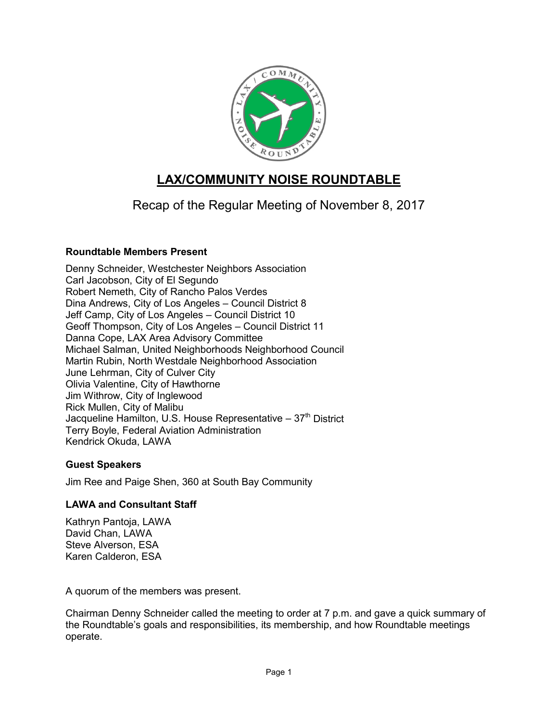

# **LAX/COMMUNITY NOISE ROUNDTABLE**

Recap of the Regular Meeting of November 8, 2017

# **Roundtable Members Present**

Denny Schneider, Westchester Neighbors Association Carl Jacobson, City of El Segundo Robert Nemeth, City of Rancho Palos Verdes Dina Andrews, City of Los Angeles – Council District 8 Jeff Camp, City of Los Angeles – Council District 10 Geoff Thompson, City of Los Angeles – Council District 11 Danna Cope, LAX Area Advisory Committee Michael Salman, United Neighborhoods Neighborhood Council Martin Rubin, North Westdale Neighborhood Association June Lehrman, City of Culver City Olivia Valentine, City of Hawthorne Jim Withrow, City of Inglewood Rick Mullen, City of Malibu Jacqueline Hamilton, U.S. House Representative  $-37<sup>th</sup>$  District Terry Boyle, Federal Aviation Administration Kendrick Okuda, LAWA

# **Guest Speakers**

Jim Ree and Paige Shen, 360 at South Bay Community

# **LAWA and Consultant Staff**

Kathryn Pantoja, LAWA David Chan, LAWA Steve Alverson, ESA Karen Calderon, ESA

A quorum of the members was present.

Chairman Denny Schneider called the meeting to order at 7 p.m. and gave a quick summary of the Roundtable's goals and responsibilities, its membership, and how Roundtable meetings operate.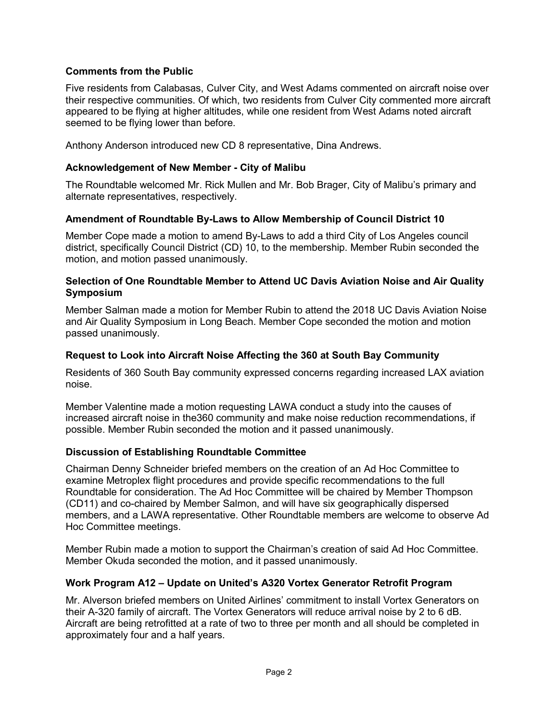## **Comments from the Public**

Five residents from Calabasas, Culver City, and West Adams commented on aircraft noise over their respective communities. Of which, two residents from Culver City commented more aircraft appeared to be flying at higher altitudes, while one resident from West Adams noted aircraft seemed to be flying lower than before.

Anthony Anderson introduced new CD 8 representative, Dina Andrews.

## **Acknowledgement of New Member - City of Malibu**

The Roundtable welcomed Mr. Rick Mullen and Mr. Bob Brager, City of Malibu's primary and alternate representatives, respectively.

## **Amendment of Roundtable By-Laws to Allow Membership of Council District 10**

Member Cope made a motion to amend By-Laws to add a third City of Los Angeles council district, specifically Council District (CD) 10, to the membership. Member Rubin seconded the motion, and motion passed unanimously.

#### **Selection of One Roundtable Member to Attend UC Davis Aviation Noise and Air Quality Symposium**

Member Salman made a motion for Member Rubin to attend the 2018 UC Davis Aviation Noise and Air Quality Symposium in Long Beach. Member Cope seconded the motion and motion passed unanimously.

## **Request to Look into Aircraft Noise Affecting the 360 at South Bay Community**

Residents of 360 South Bay community expressed concerns regarding increased LAX aviation noise.

Member Valentine made a motion requesting LAWA conduct a study into the causes of increased aircraft noise in the360 community and make noise reduction recommendations, if possible. Member Rubin seconded the motion and it passed unanimously.

#### **Discussion of Establishing Roundtable Committee**

Chairman Denny Schneider briefed members on the creation of an Ad Hoc Committee to examine Metroplex flight procedures and provide specific recommendations to the full Roundtable for consideration. The Ad Hoc Committee will be chaired by Member Thompson (CD11) and co-chaired by Member Salmon, and will have six geographically dispersed members, and a LAWA representative. Other Roundtable members are welcome to observe Ad Hoc Committee meetings.

Member Rubin made a motion to support the Chairman's creation of said Ad Hoc Committee. Member Okuda seconded the motion, and it passed unanimously.

#### **Work Program A12 – Update on United's A320 Vortex Generator Retrofit Program**

Mr. Alverson briefed members on United Airlines' commitment to install Vortex Generators on their A-320 family of aircraft. The Vortex Generators will reduce arrival noise by 2 to 6 dB. Aircraft are being retrofitted at a rate of two to three per month and all should be completed in approximately four and a half years.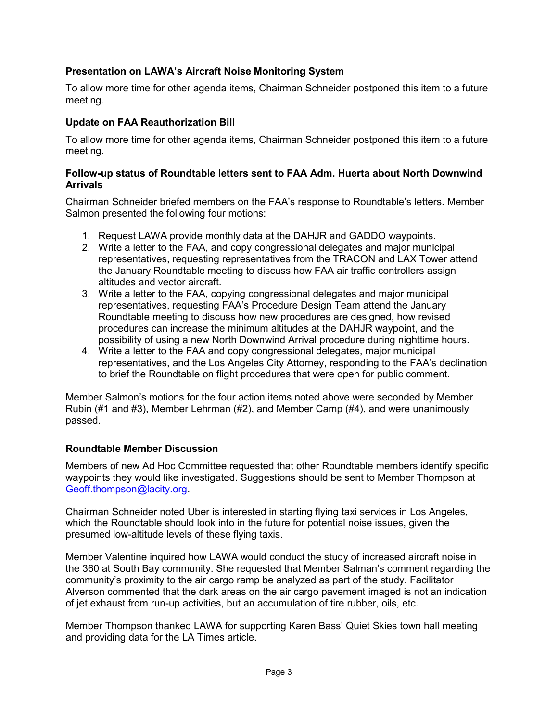# **Presentation on LAWA's Aircraft Noise Monitoring System**

To allow more time for other agenda items, Chairman Schneider postponed this item to a future meeting.

# **Update on FAA Reauthorization Bill**

To allow more time for other agenda items, Chairman Schneider postponed this item to a future meeting.

## **Follow-up status of Roundtable letters sent to FAA Adm. Huerta about North Downwind Arrivals**

Chairman Schneider briefed members on the FAA's response to Roundtable's letters. Member Salmon presented the following four motions:

- 1. Request LAWA provide monthly data at the DAHJR and GADDO waypoints.
- 2. Write a letter to the FAA, and copy congressional delegates and major municipal representatives, requesting representatives from the TRACON and LAX Tower attend the January Roundtable meeting to discuss how FAA air traffic controllers assign altitudes and vector aircraft.
- 3. Write a letter to the FAA, copying congressional delegates and major municipal representatives, requesting FAA's Procedure Design Team attend the January Roundtable meeting to discuss how new procedures are designed, how revised procedures can increase the minimum altitudes at the DAHJR waypoint, and the possibility of using a new North Downwind Arrival procedure during nighttime hours.
- 4. Write a letter to the FAA and copy congressional delegates, major municipal representatives, and the Los Angeles City Attorney, responding to the FAA's declination to brief the Roundtable on flight procedures that were open for public comment.

Member Salmon's motions for the four action items noted above were seconded by Member Rubin (#1 and #3), Member Lehrman (#2), and Member Camp (#4), and were unanimously passed.

# **Roundtable Member Discussion**

Members of new Ad Hoc Committee requested that other Roundtable members identify specific waypoints they would like investigated. Suggestions should be sent to Member Thompson at [Geoff.thompson@lacity.org.](mailto:Geoff.thompson@lacity.org)

Chairman Schneider noted Uber is interested in starting flying taxi services in Los Angeles, which the Roundtable should look into in the future for potential noise issues, given the presumed low-altitude levels of these flying taxis.

Member Valentine inquired how LAWA would conduct the study of increased aircraft noise in the 360 at South Bay community. She requested that Member Salman's comment regarding the community's proximity to the air cargo ramp be analyzed as part of the study. Facilitator Alverson commented that the dark areas on the air cargo pavement imaged is not an indication of jet exhaust from run-up activities, but an accumulation of tire rubber, oils, etc.

Member Thompson thanked LAWA for supporting Karen Bass' Quiet Skies town hall meeting and providing data for the LA Times article.